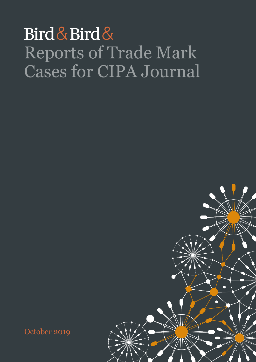## Bird & Bird & Reports of Trade Mark Cases for CIPA Journal



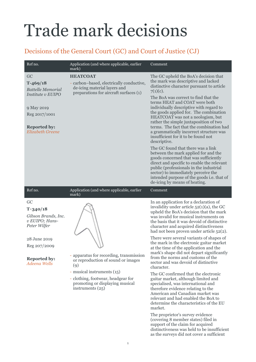## Trade mark decisions

## Decisions of the General Court (GC) and Court of Justice (CJ)

| Ref no.                                                                                                                                            | Application (and where applicable, earlier<br>mark)                                                                                                                                                               | Comment                                                                                                                                                                                                                                                                                                                                                                                                                                                                                                                                                                                                                                                                                                                                                                                                                                                                     |
|----------------------------------------------------------------------------------------------------------------------------------------------------|-------------------------------------------------------------------------------------------------------------------------------------------------------------------------------------------------------------------|-----------------------------------------------------------------------------------------------------------------------------------------------------------------------------------------------------------------------------------------------------------------------------------------------------------------------------------------------------------------------------------------------------------------------------------------------------------------------------------------------------------------------------------------------------------------------------------------------------------------------------------------------------------------------------------------------------------------------------------------------------------------------------------------------------------------------------------------------------------------------------|
| GC<br>$T-469/18$<br><b>Battelle Memorial</b><br>Institute v EUIPO<br>9 May 2019<br>Reg 2017/1001<br><b>Reported by:</b><br><b>Elizabeth Greene</b> | <b>HEATCOAT</b><br>- carbon-based, electrically conductive,<br>de-icing material layers and<br>preparations for aircraft surfaces (1)                                                                             | The GC upheld the BoA's decision that<br>the mark was descriptive and lacked<br>distinctive character pursuant to article<br>$7(1)(c)$ .<br>The BoA was correct to find that the<br>terms HEAT and COAT were both<br>individually descriptive with regard to<br>the goods applied for. The combination<br>HEATCOAT was not a neologism, but<br>rather the simple juxtaposition of two<br>terms. The fact that the combination had<br>a grammatically incorrect structure was<br>insufficient for it to be found not<br>descriptive.                                                                                                                                                                                                                                                                                                                                         |
|                                                                                                                                                    |                                                                                                                                                                                                                   | The GC found that there was a link<br>between the mark applied for and the<br>goods concerned that was sufficiently<br>direct and specific to enable the relevant<br>public (professionals in the industrial<br>sector) to immediately perceive the<br>intended purpose of the goods <i>i.e.</i> that of<br>de-icing by means of heating.                                                                                                                                                                                                                                                                                                                                                                                                                                                                                                                                   |
| Ref no.                                                                                                                                            | Application (and where applicable, earlier<br>mark)                                                                                                                                                               | Comment                                                                                                                                                                                                                                                                                                                                                                                                                                                                                                                                                                                                                                                                                                                                                                                                                                                                     |
| GC<br>$T - 340/18$<br>Gibson Brands, Inc.<br>v EUIPO; Hans-<br>Peter Wilfer<br>28 June 2019<br>Reg 207/2009<br><b>Reported by:</b><br>Adeena Wells | - apparatus for recording, transmission<br>or reproduction of sound or images<br>(9)<br>- musical instruments (15)<br>- clothing, footwear, headgear for<br>promoting or displaying musical<br>instruments $(25)$ | In an application for a declaration of<br>invalidity under article $52(1)(a)$ , the GC<br>upheld the BoA's decision that the mark<br>was invalid for musical instruments on<br>the basis that it was devoid of distinctive<br>character and acquired distinctiveness<br>had not been proven under article 52(2).<br>There were several variants of shapes of<br>the mark in the electronic guitar market<br>at the time of the application and the<br>mark's shape did not depart significantly<br>from the norms and customs of the<br>sector and was devoid of distinctive<br>character.<br>The GC confirmed that the electronic<br>guitar market, although limited and<br>specialised, was international and<br>therefore evidence relating to the<br>American and Canadian market was<br>relevant and had enabled the BoA to<br>determine the characteristics of the EU |

market. The proprietor's survey evidence (covering 8 member states) filed in support of the claim for acquired distinctiveness was held to be insufficient as the surveys did not cover a sufficient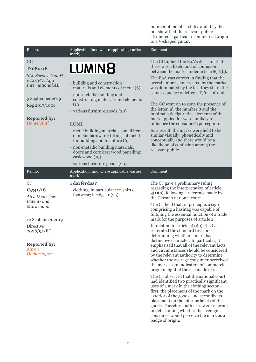number of member states and they did not show that the relevant public attributed a particular commercial origin to a V-shaped guitar.

| Application (and where applicable, earlier<br>mark)                                                                                                                                                              | Comment                                                                                                                                                                                                                                                                                                                                                                                                                                                                                                                                                                                                                                                                                                                                                                                                                                                                                                                                                                                                                                                                                                                                                       |
|------------------------------------------------------------------------------------------------------------------------------------------------------------------------------------------------------------------|---------------------------------------------------------------------------------------------------------------------------------------------------------------------------------------------------------------------------------------------------------------------------------------------------------------------------------------------------------------------------------------------------------------------------------------------------------------------------------------------------------------------------------------------------------------------------------------------------------------------------------------------------------------------------------------------------------------------------------------------------------------------------------------------------------------------------------------------------------------------------------------------------------------------------------------------------------------------------------------------------------------------------------------------------------------------------------------------------------------------------------------------------------------|
| LUMIN <sub>8</sub>                                                                                                                                                                                               | The GC upheld the BoA's decision that<br>there was a likelihood of confusion<br>between the marks under article $8(1)(b)$ .                                                                                                                                                                                                                                                                                                                                                                                                                                                                                                                                                                                                                                                                                                                                                                                                                                                                                                                                                                                                                                   |
| - building and construction<br>materials and elements of metal (6)<br>- non-metallic building and<br>constructing materials and elements                                                                         | The BoA was correct in finding that the<br>overall impression created by the marks<br>was dominated by the fact they share the<br>same sequence of letters, 'l', 'u', 'm' and<br>'i'.<br>The GC went on to state the presence of                                                                                                                                                                                                                                                                                                                                                                                                                                                                                                                                                                                                                                                                                                                                                                                                                                                                                                                              |
| - various furniture goods (20)<br><b>LUMI</b>                                                                                                                                                                    | the letter 'n', the number 8 and the<br>minimalistic figurative elements of the<br>mark applied for were unlikely to<br>influence the consumer's perception.                                                                                                                                                                                                                                                                                                                                                                                                                                                                                                                                                                                                                                                                                                                                                                                                                                                                                                                                                                                                  |
| - metal building materials; small items<br>of metal hardware; fittings of metal<br>for building and furniture (6)<br>- non-metallic building materials,<br>doors and cornices; wood panelling;<br>cask wood (19) | As a result, the marks were held to be<br>similar visually, phonetically and<br>conceptually and there would be a<br>likelihood of confusion among the<br>relevant public.                                                                                                                                                                                                                                                                                                                                                                                                                                                                                                                                                                                                                                                                                                                                                                                                                                                                                                                                                                                    |
| Application (and where applicable, earlier                                                                                                                                                                       | Comment                                                                                                                                                                                                                                                                                                                                                                                                                                                                                                                                                                                                                                                                                                                                                                                                                                                                                                                                                                                                                                                                                                                                                       |
| #darferdas?<br>- clothing, in particular tee-shirts;<br>footwear; headgear (25)                                                                                                                                  | The CJ gave a preliminary ruling<br>regarding the interpretation of article<br>$3(1)(b)$ , following a reference made by<br>the German national court.<br>The CJ held that, in principle, a sign<br>comprising a hashtag was capable of<br>fulfilling the essential function of a trade<br>mark for the purposes of article 2.<br>In relation to article $3(1)(b)$ , the CJ<br>reiterated the standard test for<br>determining whether a mark has<br>distinctive character. In particular, it<br>emphasised that all of the relevant facts<br>and circumstances should be considered<br>by the relevant authority to determine<br>whether the average consumer perceived<br>the mark as an indication of commercial<br>origin in light of the use made of it.<br>The CJ observed that the national court<br>had identified two practically significant<br>uses of a mark in the clothing sector -<br>first, the placement of the mark on the<br>exterior of the goods, and secondly its<br>placement on the interior labels of the<br>goods. Therefore both uses were relevant<br>in determining whether the average<br>consumer would perceive the mark as a |
|                                                                                                                                                                                                                  | (19)<br>- various furniture goods (20)<br>mark)                                                                                                                                                                                                                                                                                                                                                                                                                                                                                                                                                                                                                                                                                                                                                                                                                                                                                                                                                                                                                                                                                                               |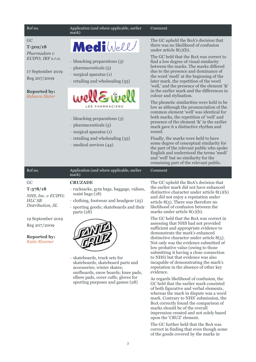#### Ref no. **Application** (and where applicable, earlier Comment mark) GC MediWell **T-502/18** *Pharmadom v EUIPO; IRF s.r.o.* - bleaching preparations (3) - pharmaceuticals (5) 17 September 2019 - surgical aparatus (1) Reg 207/2009 - retailing and wholesaling (35)



- bleaching preparations (3)
- pharmaceuticals (5)

**Reported by:** *Rebecca Slater*

- surgical aparatus (1)
- retailing and wholesaling (35)
- medical services (44)

The GC upheld the BoA's decision that there was no likelihood of confusion under article 8(1)(b).

The GC held that the BoA was correct to find a low degree of visual similarity between the marks. The marks differed due to the presence and dominance of the word 'medi' at the beginning of the later mark, the repetition of the word 'well,' and the presence of the element '&' in the earlier mark and the differences in colour and stylisation.

The phonetic similarities were held to be low as although the pronunciation of the common element 'well' was identical for both marks, the repetition of 'well' and presence of the element '&' in the earlier mark gave it a distinctive rhythm and sound.

Finally, the marks were held to have some degree of conceptual similarity for the part of the relevant public who spoke English and understood the terms 'medi' and 'well' but no similarity for the remaining part of the relevant public.

| Ref no.                                                                         | Application (and where applicable, earlier<br>mark)                                                                                                                                | Comment                                                                                                                                                                                                                                                                                       |
|---------------------------------------------------------------------------------|------------------------------------------------------------------------------------------------------------------------------------------------------------------------------------|-----------------------------------------------------------------------------------------------------------------------------------------------------------------------------------------------------------------------------------------------------------------------------------------------|
| GC<br>$T-378/18$<br>NHS, Inc. v EUIPO;<br><b>HLC SB</b><br>Distribution, SL     | <b>CRUZADE</b><br>- rucksacks, gym bags, baggage, valises,<br>waist bags (18)<br>- clothing, footwear and headgear (25)<br>- sporting goods; skateboards and their<br>parts $(28)$ | The GC upheld the BoA's decision that<br>the earlier mark did not have enhanced<br>distinctive character under article $8(1)(b)$<br>and did not enjoy a reputation under<br>article $8(5)$ . There was therefore no<br>likelihood of confusion between the<br>marks under article $8(1)(b)$ . |
| 19 September 2019<br>Reg 207/2009<br><b>Reported by:</b><br><b>Katie Rimmer</b> |                                                                                                                                                                                    | The GC held that the BoA was correct in<br>assessing that NHS had not provided<br>sufficient and appropriate evidence to<br>demonstrate the mark's enhanced<br>distinctive character under article $8(5)$ .<br>Not only was the evidence submitted of<br>low probative value (owing to those  |

- skateboards, truck sets for skateboards, skateboard parts and accessories; winter skates; surfboards, snow boards; knee pads, elbow pads, cover cuffs; gloves for sporting purposes and games (28)

low probative value (owing to those submitting it having a close connection to NHS) but that evidence was also incapable of demonstrating the mark's reputation in the absence of other key evidence.

As regards likelihood of confusion, the GC held that the earlier mark consisted of both figurative and verbal elements, whereas the mark in dispute was a word mark. Contrary to NHS' submission, the BoA correctly found the comparison of marks should be of the overall impression created and not solely based upon the 'CRUZ' element.

The GC further held that the BoA was correct in finding that even though some of the goods covered by the marks in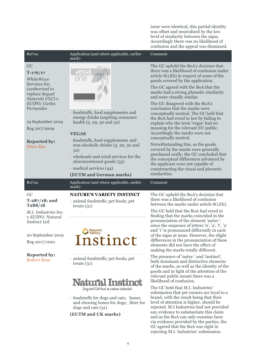level of similarity between the signs. Accordingly there was no likelihood of confusion and the appeal was dismissed. Ref no. **Application** (and where applicable, earlier Comment mark) GC The GC upheld the BoA's decision that there was a likelihood of confusion under **T-176/17** article 8(1)(b) in respect of some of the *WhiteWave*  goods covered by the application. *Services Inc.*  The GC agreed with the BoA that the *(authorised to*  marks had a strong phonetic similarity *replace Sequel*  and were visually similar. *Naturals ULC) v*  The GC disagreed with the BoA's *EUIPO; Carlos*  conclusion that the marks were *Fernandes* - foodstuffs, food supplements and conceptually neutral. The GC held that energy drinks targeting consumer the BoA had erred in law by failing to 19 September 2019 health (5, 29, 30 and 32) explain why the term 'vegas' had no meaning for the relevant EU public. Reg 207/2009 Accordingly the marks were not **VEGAS** conceptually neutral. - foodstuffs, food supplements and **Reported by:** Notwithstanding this, as the goods non-alcoholic drinks (5, 29, 30 and *Dean Rae* covered by the marks were generally 32) purchased orally, the GC concluded that - wholesale and retail services for the the conceptual differences advanced by aforementioned goods (35) the applicant were not capable of - medical services (44) counteracting the visual and phonetic similarities. **(EUTM and German marks)** Ref no. Application (and where applicable, earlier Comment mark) GC **NATURE'S VARIETY INSTINCT** The GC upheld the BoA's decision that there was a likelihood of confusion **T-287/18; and** - animal foodstuffs; pet foods; pet between the marks under article 8(1)(b). **T288/18** treats (31) The GC held that the BoA had erred in *M.I. Industries Inc.*  finding that the marks coincided in the *v EUIPO; Natural*  pronunciation of the element 'natur-' *Instinct Ltd.* since the sequence of letters 'n', 'a', 't', 'u' Nature's and 'r' is pronounced differently in each of the signs at issue. However, the slight 20 September 2019 istinct differences in the pronunciation of these Reg 2017/1001 elements did not have the effect of making the marks totally different. **Reported by:** The presence of 'natur-' and 'instinct', - animal foodstuffs; pet foods; pet *Robert Rose* both dominant and distinctive elements treats  $(31)$ of the marks, as well as the identity of the goods and in light of the attention of the relevant public meant there was a likelihood of confusion. Natural Instinct The GC held that M.I. Industries' Dog and Cat food as nature intended submission that pet owners are loyal to a brand, with the result being that their - foodstuffs for dogs and cats; bones level of attention is higher, should be and chewing bones for dogs; litter for rejected. M.I Industries had not provided dogs and cats (31) any evidence to substantiate this claim **(EUTM and UK marks)** and as the BoA can only examine facts via evidence provided by the parties, the

issue were identical, this partial identity was offset and neutralised by the low

GC agreed that the BoA was right in rejecting M.I. Industries' submission.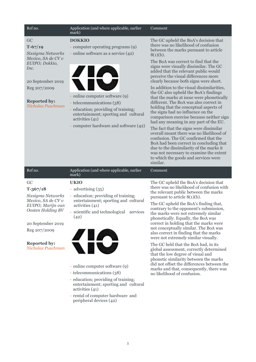| Ref no.                                                                                                                                                                                | Application (and where applicable, earlier<br>mark)                                                                                                                                                                                                                                                                                                                                                                               | Comment                                                                                                                                                                                                                                                                                                                                                                                                                                                                                                                                                                                                                                                                                                                                                                                                                                                                                                                                                               |
|----------------------------------------------------------------------------------------------------------------------------------------------------------------------------------------|-----------------------------------------------------------------------------------------------------------------------------------------------------------------------------------------------------------------------------------------------------------------------------------------------------------------------------------------------------------------------------------------------------------------------------------|-----------------------------------------------------------------------------------------------------------------------------------------------------------------------------------------------------------------------------------------------------------------------------------------------------------------------------------------------------------------------------------------------------------------------------------------------------------------------------------------------------------------------------------------------------------------------------------------------------------------------------------------------------------------------------------------------------------------------------------------------------------------------------------------------------------------------------------------------------------------------------------------------------------------------------------------------------------------------|
| GC<br>$T-67/19$<br>Sixsigma Networks<br>Mexico, SA de CV v<br>EUIPO; Dokkio,<br>Inc.<br>20 September 2019<br>Reg 207/2009<br><b>Reported by:</b><br>Nicholas Puschman                  | <b>DOKKIO</b><br>- computer operating programs (9)<br>- online software as a service (42)<br>- online computer software (9)<br>- telecommunications (38)<br>- education; providing of training;<br>entertainment; sporting and cultural<br>activities (41)<br>- computer hardware and software (42)                                                                                                                               | The GC upheld the BoA's decision that<br>there was no likelihood of confusion<br>between the marks pursuant to article<br>$8(1)(b)$ .<br>The BoA was correct to find that the<br>signs were visually dissimilar. The GC<br>added that the relevant public would<br>perceive the visual differences more<br>clearly because both signs were short.<br>In addition to the visual dissimilarities,<br>the GC also upheld the BoA's findings<br>that the marks at issue were phonetically<br>different. The BoA was also correct in<br>holding that the conceptual aspects of<br>the signs had no influence on the<br>comparison exercise because neither sign<br>had any meaning in any part of the EU.<br>The fact that the signs were dissimilar<br>overall meant there was no likelihood of<br>confusion. The GC confirmed that the<br>BoA had been correct in concluding that<br>due to the dissimilarity of the marks it<br>was not necessary to examine the extent |
| Ref no.                                                                                                                                                                                | Application (and where applicable, earlier                                                                                                                                                                                                                                                                                                                                                                                        | to which the goods and services were<br>similar.<br>Comment                                                                                                                                                                                                                                                                                                                                                                                                                                                                                                                                                                                                                                                                                                                                                                                                                                                                                                           |
|                                                                                                                                                                                        | mark)                                                                                                                                                                                                                                                                                                                                                                                                                             |                                                                                                                                                                                                                                                                                                                                                                                                                                                                                                                                                                                                                                                                                                                                                                                                                                                                                                                                                                       |
| GC<br>$T-367/18$<br>Sixsigma Networks<br>Mexico, SA de CV v<br>EUIPO; Marijn van<br>Oosten Holding BV<br>20 September 2019<br>Reg 207/2009<br><b>Reported by:</b><br>Nicholas Puschman | <b>UKIO</b><br>- advertising (35)<br>- education; providing of training;<br>entertainment; sporting and cultural<br>activities (41)<br>- scientific and technological<br>services<br>(42)<br>KIC<br>- online computer software (9)<br>- telecommunications (38)<br>- education; providing of training;<br>entertainment; sporting and cultural<br>activities (41)<br>- rental of computer hardware and<br>peripheral devices (42) | The GC upheld the BoA's decision that<br>there was no likelihood of confusion with<br>the relevant public between the marks<br>pursuant to article $8(1)(b)$ .<br>The GC upheld the BoA's finding that,<br>contrary to the opponent's submission,<br>the marks were not extremely similar<br>phonetically. Equally, the BoA was<br>correct in holding that the marks were<br>not conceptually similar. The BoA was<br>also correct in finding that the marks<br>were not extremely similar visually.<br>The GC held that the BoA had, in its<br>global assessment, correctly determined<br>that the low degree of visual and<br>phonetic similarity between the marks<br>did not offset the differences between the<br>marks and that, consequently, there was<br>no likelihood of confusion.                                                                                                                                                                         |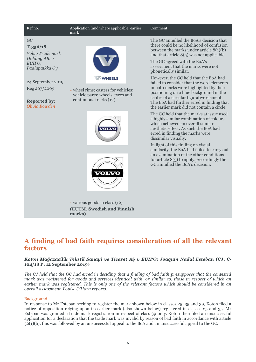

## **A finding of bad faith requires consideration of all the relevant factors**

#### *Koton Mağazacilik Tekstil Sanayi ve Ticaret AȘ v EUIPO; Joaquín Nadal Esteban* **(CJ; C-104/18 P; 12 September 2019)**

*The CJ held that the GC had erred in deciding that a finding of bad faith presupposes that the contested mark was registered for goods and services identical with, or similar to, those in respect of which an earlier mark was registered. This is only one of the relevant factors which should be considered in an overall assessment. Louise O'Hara reports.*

#### Background

In response to Mr Esteban seeking to register the mark shown below in classes 25, 35 and 39, Koton filed a notice of opposition relying upon its earlier mark (also shown below) registered in classes 25 and 35. Mr Esteban was granted a trade mark registration in respect of class 39 only. Koton then filed an unsuccessful application for a declaration that the trade mark was invalid by reason of bad faith in accordance with article 52(1)(b), this was followed by an unsuccessful appeal to the BoA and an unsuccessful appeal to the GC.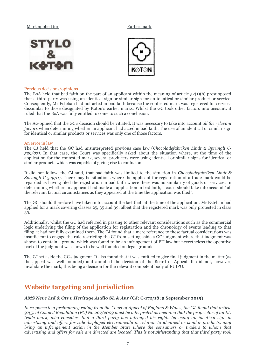#### Mark applied for **Earlier mark**





#### Previous decisions/opinions

The BoA held that bad faith on the part of an applicant within the meaning of article 52(1)(b) presupposed that a third party was using an identical sign or similar sign for an identical or similar product or service. Consequently, Mr Esteban had not acted in bad faith because the contested mark was registered for services dissimilar to those designated by Koton's earlier marks. Whilst the GC took other factors into account, it ruled that the BoA was fully entitled to come to such a conclusion.

The AG opined that the GC's decision should be vitiated. It was necessary to take into account *all the relevant factors* when determining whether an applicant had acted in bad faith. The use of an identical or similar sign for identical or similar products or services was only one of those factors.

#### An error in law

The CJ held that the GC had misinterpreted previous case law (*Chocoladefabriken Lindt & Sprüngli C-529/07).* In that case, the Court was specifically asked about the situation where, at the time of the application for the contested mark, several producers were using identical or similar signs for identical or similar products which was capable of giving rise to confusion.

It did not follow, the CJ said, that bad faith was limited to the situation in *Chocoladefabriken Lindt & Sprüngli C-529/07*. There may be situations where the applicant for registration of a trade mark could be regarded as having filed the registration in bad faith where there was no similarity of goods or services. In determining whether an applicant had made an application in bad faith, a court should take into account "all the relevant factual circumstances as they appeared at the time the application was filed".

The GC should therefore have taken into account the fact that, at the time of the application, Mr Esteban had applied for a mark covering classes 25, 35 and 39, albeit that the registered mark was only protected in class 39.

Additionally, whilst the GC had referred in passing to other relevant considerations such as the commercial logic underlying the filing of the application for registration and the chronology of events leading to that filing, it had not fully examined them. The CJ found that a mere reference to these factual considerations was insufficient to engage the rule restricting the CJ from setting aside a GC judgment where that judgment was shown to contain a ground which was found to be an infringement of EU law but nevertheless the operative part of the judgment was shown to be well founded on legal grounds.

The CJ set aside the GC's judgment. It also found that it was entitled to give final judgment in the matter (as the appeal was well founded) and annulled the decision of the Board of Appeal. It did not, however, invalidate the mark; this being a decision for the relevant competent body of EUIPO.

## **Website targeting and jurisdiction**

#### *AMS Neve Ltd & Ots v Heritage Audio SL & Anr* **(CJ; C-172/18; 5 September 2019)**

*In response to a preliminary ruling from the Court of Appeal of England & Wales, the CJ found that article 97(5) of Council Regulation (EC) No 207/2009 must be interpreted as meaning that the proprietor of an EU trade mark, who considers that a third party has infringed his rights by using an identical sign in advertising and offers for sale displayed electronically in relation to identical or similar products, may bring an infringement action in the Member State where the consumers or traders to whom that advertising and offers for sale are directed are located. This is notwithstanding that that third party took*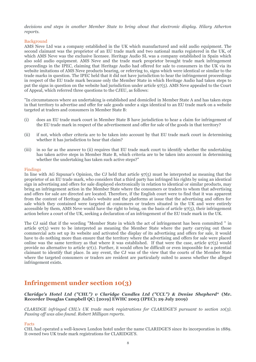*decisions and steps in another Member State to bring about that electronic display. Hilary Atherton reports.* 

#### Background

AMS Neve Ltd was a company established in the UK which manufactured and sold audio equipment. The second claimant was the proprietor of an EU trade mark and two national marks registered in the UK, of which AMS Neve was the exclusive licensee. Heritage Audio SL was a company established in Spain which also sold audio equipment. AMS Neve and the trade mark proprietor brought trade mark infringement proceedings in the IPEC, claiming that Heritage Audio had offered for sale to consumers in the UK via its website imitations of AMS Neve products bearing, or referring to, signs which were identical or similar to the trade marks in question. The IPEC held that it did not have jurisdiction to hear the infringement proceedings in respect of the EU trade mark because only the Member State in which Heritage Audio had taken steps to put the signs in question on the website had jurisdiction under article 97(5). AMS Neve appealed to the Court of Appeal, which referred three questions to the CJEU, as follows:

"In circumstances where an undertaking is established and domiciled in Member State A and has taken steps in that territory to advertise and offer for sale goods under a sign identical to an EU trade mark on a website targeted at traders and consumers in Member State B:

- (i) does an EU trade mark court in Member State B have jurisdiction to hear a claim for infringement of the EU trade mark in respect of the advertisement and offer for sale of the goods in that territory?
- (ii) if not, which other criteria are to be taken into account by that EU trade mark court in determining whether it has jurisdiction to hear that claim?
- (iii) in so far as the answer to (ii) requires that EU trade mark court to identify whether the undertaking has taken active steps in Member State B, which criteria are to be taken into account in determining whether the undertaking has taken such active steps?"

#### Findings

In line with AG Szpunar's Opinion, the CJ held that article 97(5) must be interpreted as meaning that the proprietor of an EU trade mark, who considers that a third party has infringed his rights by using an identical sign in advertising and offers for sale displayed electronically in relation to identical or similar products, may bring an infringement action in the Member State where the consumers or traders to whom that advertising and offers for sale are directed are located. Therefore, if the English court were to find that it was apparent from the content of Heritage Audio's website and the platforms at issue that the advertising and offers for sale which they contained were targeted at consumers or traders situated in the UK and were entirely accessible by them, AMS Neve would have the right to bring, on the basis of article 97(5), their infringement action before a court of the UK, seeking a declaration of an infringement of the EU trade mark in the UK.

The CJ said that if the wording "Member State in which the act of infringement has been committed " in article 97(5) were to be interpreted as meaning the Member State where the party carrying out those commercial acts set up its website and activated the display of its advertising and offers for sale, it would have to do nothing more than ensure that the territory where the advertising and offers for sale were placed online was the same territory as that where it was established. If that were the case, article  $97(5)$  would provide no alternative to article 97(1). Further, it would often be difficult or even impossible for a potential claimant to identify that place. In any event, the CJ was of the view that the courts of the Member State where the targeted consumers or traders are resident are particularly suited to assess whether the alleged infringement exists.

## **Infringement under section 10(3)**

#### *Claridge's Hotel Ltd ("CHL") v Claridge Candles Ltd ("CCL") & Denise Shepherd***\* (Mr. Recorder Douglas Campbell QC; [2019] EWHC 2003 (IPEC); 29 July 2019)**

*CLARIDGE infringed CHL's UK trade mark registrations for CLARIDGE'S pursuant to section 10(3). Passing off was also found. Robert Milligan reports.*

Facts

CHL had operated a well-known London hotel under the name CLARIDGE'S since its incorporation in 1889. It owned two UK trade mark registrations for CLARIDGE'S.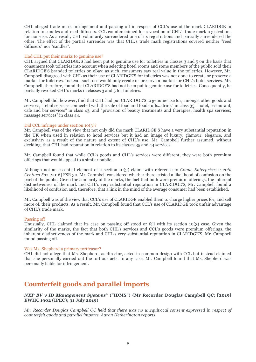CHL alleged trade mark infringement and passing off in respect of CCL's use of the mark CLARIDGE in relation to candles and reed diffusers. CCL counterclaimed for revocation of CHL's trade mark registrations for non-use. As a result, CHL voluntarily surrendered one of its registrations and partially surrendered the other. The effect of the partial surrender was that CHL's trade mark registrations covered neither "reed diffusers" nor "candles".

#### Had CHL put their marks to genuine use?

CHL argued that CLARIDGE'S had been put to genuine use for toiletries in classes 3 and 5 on the basis that consumers took toiletries into account when selecting hotel rooms and some members of the public sold their CLARIDGE'S branded toiletries on eBay; as such, consumers saw real value in the toiletries. However, Mr. Campbell disagreed with CHL as their use of CLARIDGE'S for toiletries was not done to create or preserve a market for toiletries. Instead, such use would only create or preserve a market for CHL's hotel services. Mr. Campbell, therefore, found that CLARIDGE'S had not been put to genuine use for toiletries. Consequently, he partially revoked CHL's marks in classes 3 and 5 for toiletries.

Mr. Campbell did, however, find that CHL had put CLARIDGE'S to genuine use for, amongst other goods and services, "retail services connected with the sale of food and foodstuffs…drink" in class 35, "hotel, restaurant, café and bar services" in class 43, and "provision of beauty treatments and therapies; health spa services; massage services" in class 44.

#### Did CCL infringe under section 10(3)?

Mr. Campbell was of the view that not only did the mark CLARIDGE'S have a very substantial reputation in the UK when used in relation to hotel services but it had an image of luxury, glamour, elegance, and exclusivity as a result of the nature and extent of CHL's use. Mr. Campbell further assumed, without deciding, that CHL had reputation in relation to its classes 35 and 44 services.

Mr. Campbell found that while CCL's goods and CHL's services were different, they were both premium offerings that would appeal to a similar public.

Although not an essential element of a section 10(3) claim, with reference to *Comic Enterprises v 20th Century Fox* [2016] FSR 30, Mr. Campbell considered whether there existed a likelihood of confusion on the part of the public. Given the similarity of the marks, the fact that both were premium offerings, the inherent distinctiveness of the mark and CHL's very substantial reputation in CLARIDGE'S, Mr. Campbell found a likelihood of confusion and, therefore, that a link in the mind of the average consumer had been established.

Mr. Campbell was of the view that CCL's use of CLARIDGE enabled them to charge higher prices for, and sell more of, their products. As a result, Mr. Campbell found that CCL's use of CLARIDGE took unfair advantage of CHL's trade mark.

#### Passing off

Unusually, CHL claimed that its case on passing off stood or fell with its section 10(3) case. Given the similarity of the marks, the fact that both CHL's services and CCL's goods were premium offerings, the inherent distinctiveness of the mark and CHL's very substantial reputation in CLARIDGE'S, Mr. Campbell found passing off.

#### Was Ms. Shepherd a primary tortfeasor?

CHL did not allege that Ms. Shepherd, as director, acted in common design with CCL but instead claimed that she personally carried out the tortious acts. In any case, Mr. Campbell found that Ms. Shepherd was personally liable for infringement.

## **Counterfeit goods and parallel imports**

#### *NXP BV v ID Management Systems***\* ("IDMS") (Mr Recorder Douglas Campbell QC; [2019] EWHC 1902 (IPEC); 31 July 2019)**

*Mr. Recorder Douglas Campbell QC held that there was no unequivocal consent expressed in respect of counterfeit goods and parallel imports. Aaron Hetherington reports.*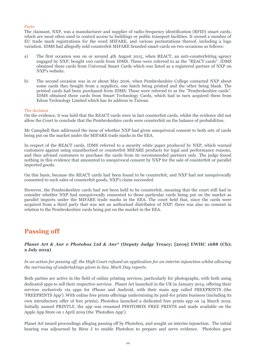#### Facts

The claimant, NXP, was a manufacturer and supplier of radio-frequency identification (RFID) smart cards, which are most often used to control access to buildings or public transport facilities. It owned a number of EU trade mark registrations for the word MIFARE, and various permutations thereof, including a logo variation. IDMS had allegedly sold counterfeit MIFARE branded smart cards on two occasions as follows:

- a) The first occasion was on or around 4th August 2015, when REACT, an anti-counterfeiting agency engaged by NXP, bought 100 cards from IDMS. These were referred to as the "REACT cards". IDMS obtained these cards from Universal Smart Cards which was listed as a registered partner of NXP on NXP's website.
- b) The second occasion was in or about May 2016, when Pembrokeshire College contacted NXP about some cards they bought from 2 suppliers, one batch being printed and the other being blank. The printed cards had been purchased from IDMS. These were referred to as the "Pembrokeshire cards". IDMS obtained these cards from Smart Technology Cards, which had in turn acquired them from Edom Technology Limited which has its address in Taiwan.

#### The decision

On the evidence, it was held that the REACT cards were in fact counterfeit cards, whilst the evidence did not allow the Court to conclude that the Pembrokeshire cards were counterfeit on the balance of probabilities.

Mr Campbell then addressed the issue of whether NXP had given unequivocal consent to both sets of cards being put on the market under the MIFARE trade marks in the EEA.

In respect of the REACT cards, IDMS referred to a security white paper produced by NXP, which warned customers against using unauthorised or counterfeit MIFARE products for legal and performance reasons, and thus advised customers to purchase the cards from its recommended partners only. The judge found nothing in this evidence that amounted to unequivocal consent by NXP for the sale of counterfeit or parallel imported goods.

On this basis, because the REACT cards had been found to be counterfeit, and NXP had not unequivocally consented to such sales of counterfeit goods, NXP's claim succeeded.

However, the Pembrokeshire cards had not been held to be counterfeit, meaning that the court still had to consider whether NXP had unequivocally consented to those particular cards being put on the market as parallel imports under the MIFARE trade marks in the EEA. The court held that, since the cards were acquired from a third party that was not an authorised distributor of NXP; there was also no consent in relation to the Pembrokeshire cards being put on the market in the EEA.

## **Passing off**

#### *Planet Art & Anr v Photobox Ltd & Anr\** **(Deputy Judge Treacy; [2019] EWHC 1688 (Ch); 2 July 2019)**

*In an action for passing off, the High Court refused an application for an interim injunction whilst allowing the narrowing of undertakings given in lieu. Mark Day reports.* 

Both parties are active in the field of online printing services, particularly for photographs, with both using dedicated apps to sell their respective services. Planet Art launched in the UK in January 2014, offering their services exclusively via apps for iPhone and Android, with their main app called FREEPRINTS (the 'FREEPRINTS App'). With online free prints offerings undermining its paid-for prints business (including its own introductory offer of free prints), Photobox launched a dedicated free prints app on 14 March 2019. Initially named PRINTLY, the app was renamed PHOTOBOX FREE PRINTS and made available on the Apple App Store on 1 April 2019 (the 'PhotoBox App').

Planet Art issued proceedings alleging passing off by Photobox, and sought an interim injunction. The initial hearing was adjourned by Birss J to enable Photobox to prepare and serve evidence. Photobox gave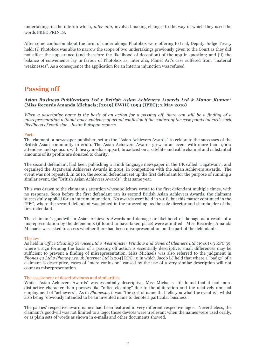undertakings in the interim which, *inter alia,* involved making changes to the way in which they used the words FREE PRINTS.

After some confusion about the form of undertakings Photobox were offering to trial, Deputy Judge Treacy held: (i) Photobox was able to narrow the scope of two undertakings previously given to the Court as they did not affect the appearance (and therefore the likelihood of deception) of the app in question; and (ii) the balance of convenience lay in favour of Photobox as, inter alia, Planet Art's case suffered from "material weaknesses". As a consequence the application for an interim injunction was refused.

### **Passing off**

#### *Asian Business Publications Ltd v British Asian Achievers Awards Ltd & Manor Kumar***\* (Miss Records Amanda Michaels; [2019] EWHC 1094 (IPEC); 2 May 2019)**

*When a descriptive name is the basis of an action for a passing off, there can still be a finding of a misrepresentation without much evidence of actual confusion if the context of the case points towards such likelihood of confusion. Justin Bukspan reports.*

#### Facts

The claimant, a newspaper publisher, set up the "Asian Achievers Awards" to celebrate the successes of the British Asian community in 2000. The Asian Achievers Awards grew to an event with more than 1,000 attendees and sponsors with heavy media support, broadcast on a satellite and cable channel and substantial amounts of its profits are donated to charity.

The second defendant, had been publishing a Hindi language newspaper in the UK called "Jagatwani", and organised the Jagatwani Achievers Awards in 2014, in competition with the Asian Achievers Awards. The event was not repeated. In 2016, the second defendant set up the first defendant for the purpose of running a similar event, the "British Asian Achievers Awards", that same year.

This was drawn to the claimant's attention whose solicitors wrote to the first defendant multiple times, with no response. Soon before the first defendant ran its second British Asian Achievers Awards, the claimant successfully applied for an interim injunction. No awards were held in 2018, but this matter continued in the IPEC, where the second defendant was joined in the proceeding, as the sole director and shareholder of the first defendant.

The claimant's goodwill in Asian Achievers Awards and damage or likelihood of damage as a result of a misrepresentation by the defendants (if found to have taken place) were admitted. Miss Recorder Amanda Michaels was asked to assess whether there had been misrepresentation on the part of the defendants.

#### The law

As held in *Office Cleaning Services Ltd v Westminster Window and General Cleaners Ltd* (1946) 63 RPC 39, where a sign forming the basis of a passing off action is essentially descriptive, small differences may be sufficient to prevent a finding of misrepresentation. Miss Michaels was also referred to the judgment in *Phones 4u Ltd v Phone4u.co.uk Internet Ltd* [2004] RPC 40 in which Jacob LJ held that where a "badge" of a claimant is descriptive, cases of "mere confusion" caused by the use of a very similar description will not count as misrepresentation.

#### The assessment of descriptiveness and similarities

While "Asian Achievers Awards" was essentially descriptive, Miss Michaels still found that it had more distinctive character than phrases like "office cleaning" due to the alliteration and the relatively unusual employment of "achievers". As in *Phones4u*, it was "the sort of name that tells you what the event is", whilst also being "obviously intended to be an invented name to denote a particular business".

The parties' respective award names had been featured in very different respective logos. Nevertheless, the claimant's goodwill was not limited to a logo: those devices were irrelevant when the names were used orally, or as plain sets of words as shown in e-mails and other documents showed.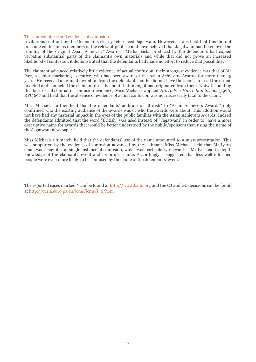#### The context of use and evidence of confusion

Invitations sent out by the Defendants clearly referenced Jagatwani. However, it was held that this did not preclude confusion as members of the relevant public could have believed that Jagatwani had taken over the running of the original Asian Achievers' Awards. Media packs produced by the defendants had copied verbatim substantial parts of the claimant's own materials and while that did not prove an increased likelihood of confusion, it demonstrated that the defendants had made no effort to reduce that possibility.

The claimant advanced relatively little evidence of actual confusion, their strongest evidence was that of Mr Iyer, a senior marketing executive, who had been aware of the Asian Achievers Awards for more than 15 years. He received an e-mail invitation from the defendants but he did not have the chance to read the e-mail in detail and contacted the claimant directly about it, thinking it had originated from them. Notwithstanding this lack of substantial of confusion evidence, Miss Michaels applied *Harrods v Harrodian School* [1996] RPC 697 and held that the absence of evidence of actual confusion was not necessarily fatal to the claim.

Miss Michaels further held that the defendants' addition of "British" to "Asian Achievers Awards" only confirmed who the existing audience of the awards was or who the awards were about. This addition would not have had any material impact in the eyes of the public familiar with the Asian Achievers Awards. Indeed the defendants admitted that the word "British" was used instead of "Jagatwani" in order to "have a more descriptive name for awards that would be better understood by the public/sponsors than using the name of the Jagatwani newspaper."

Miss Michaels ultimately held that the defendants' use of the name amounted to a misrepresentation. This was supported by the evidence of confusion advanced by the claimant. Miss Michaels held that Mr Iyer's email was a significant single instance of confusion, which was particularly relevant as Mr Iyer had in-depth knowledge of the claimant's event and its proper name. Accordingly it suggested that less well-informed people were even more likely to be confused by the name of the defendants' event.

The reported cases marked \* can be found at http://www.bailii.org and the CJ and GC decisions can be found at http://curia.euro pa.eu/jcms/jcms/j\_6/hom